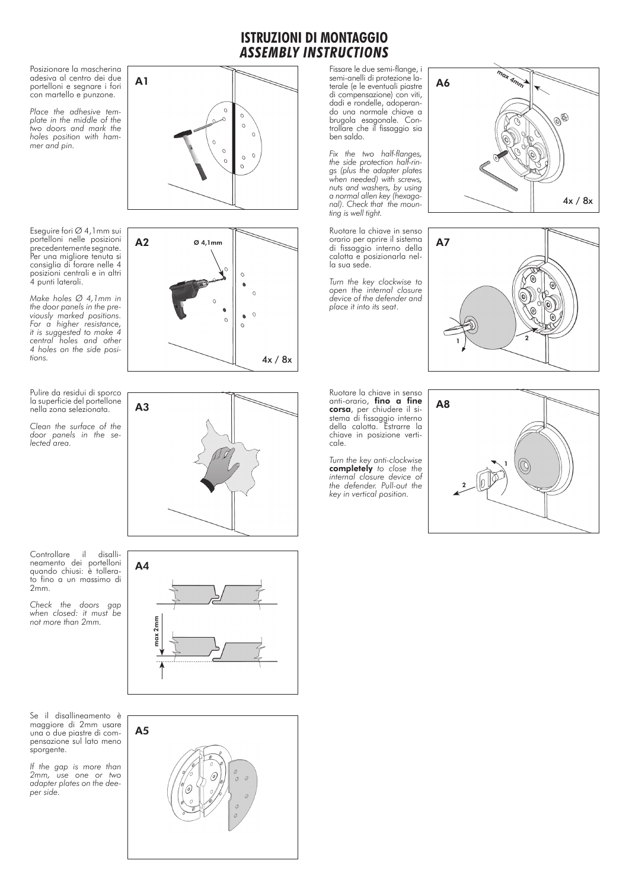## **ISTRUZIONI DI MONTAGGIO** *ASSEMBLY INSTRUCTIONS*

Posizionare la mascherina adesiva al centro dei due portelloni e segnare i fori con martello e punzone.

A1

A3

*Place the adhesive tem plate in the middle of the two doors and mark the holes position with ham mer and pin.*

Eseguire fori Ø 4,1mm sui portelloni nelle posizioni precedentemente segnate. Per una migliore tenuta si consiglia di forare nelle 4 posizioni centrali e in altri 4 punti laterali.

*Make holes Ø 4,1mm in the door panels in the pre viously marked positions. For a higher resistance, it is suggested to make 4 central holes and other 4 holes on the side posi tions.*

Pulire da residui di sporco la superficie del portellone nella zona selezionata.

*Clean the surface of the door panels in the se lected area.*

Controllare il disallineamento dei portelloni quando chiusi: è tollera to fino a un massimo di 2mm.

*Check the doors gap when closed: it must be not more than 2mm.*

Se il disallineamento è maggiore di 2mm usare una o due piastre di com pensazione sul lato meno sporgente.

*If the gap is more than 2mm, use one or two adapter plates on the dee per side.*







Fissare le due semi-flange, i semi-anelli di protezione la terale (e le eventuali piastre di compensazione) con viti, dadi e rondelle, adoperan do una normale chiave a brugola esagonale. Con trollare che il fissaggio sia ben saldo.

*Fix the two half-flanges, the side protection half-rin gs (plus the adapter plates when needed) with screws, nuts and washers, by using a normal allen key (hexago nal). Check that the moun ting is well tight.*

Ruotare la chiave in senso orario per aprire il sistema di fissaggio interno della calotta e posizionarla nel la sua sede.

*Turn the key clockwise to open the internal closure device of the defender and place it into its seat* .





Ruotare la chiave in senso anti-orario, fino a fine corsa, per chiudere il sistema di fissaggio interno della calotta. Estrarre la chiave in posizione verti cale.

*Turn the key anti-clockwise*  completely *to close the internal closure device of the defender. Pull-out the key in vertical position.*





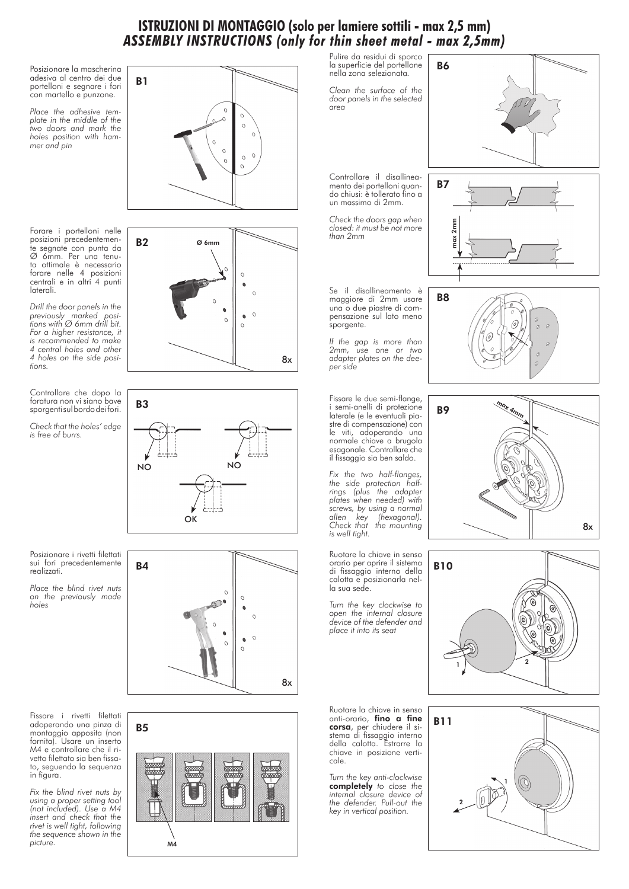## **ISTRUZIONI DI MONTAGGIO (solo per lamiere sottili - max 2,5 mm)** *ASSEMBLY INSTRUCTIONS (only for thin sheet metal - max 2,5mm)*

Posizionare la mascherina adesiva al centro dei due portelloni e segnare i fori con martello e punzone.

*Place the adhesive template in the middle of the two doors and mark the holes position with hammer and pin*

Forare i portelloni nelle posizioni precedentemente segnate con punta da Ø 6mm. Per una tenuta ottimale è necessario forare nelle 4 posizioni centrali e in altri 4 punti laterali.

*Drill the door panels in the previously marked positions with Ø 6mm drill bit. For a higher resistance, it is recommended to make 4 central holes and other 4 holes on the side positions.*

Controllare che dopo la foratura non vi siano bave sporgenti sul bordo dei fori.

*Check that the holes' edge is free of burrs.*

B1  $\Omega$  $\circ$  $\Omega$  $\mathcal{C}$ 

B<sub>2</sub> Ø 6mm  $\Omega$ 8x



Posizionare i rivetti filettati sui fori precedentemente realizzati.

*Place the blind rivet nuts on the previously made holes* 



*Fix the blind rivet nuts by using a proper setting tool (not included). Use a M4 insert and check that the rivet is well tight, following the sequence shown in the picture.* 





Pulire da residui di sporco la superficie del portellone nella zona selezionata*.*

B6

*Clean the surface of the door panels in the selected area* 

Controllare il disallineamento dei portelloni quando chiusi: è tollerato fino a un massimo di 2mm.

*Check the doors gap when closed: it must be not more than 2mm*

Se il disallineamento è maggiore di 2mm usare una o due piastre di compensazione sul lato meno sporgente.

*If the gap is more than 2mm, use one or two adapter plates on the deeper side* 

Fissare le due semi-flange, i semi-anelli di protezione laterale (e le eventuali piastre di compensazione) con le viti, adoperando una normale chiave a brugola esagonale. Controllare che il fissaggio sia ben saldo.

*Fix the two half-flanges, the side protection halfrings (plus the adapter plates when needed) with screws, by using a normal allen key (hexagonal). Check that the mounting is well tight.*

Ruotare la chiave in senso orario per aprire il sistema di fissaggio interno della calotta e posizionarla nella sua sede.

*Turn the key clockwise to open the internal closure device of the defender and place it into its seat*

Ruotare la chiave in senso anti-orario, **fino a fine** corsa, per chiudere il sistema di fissaggio interno della calotta. Estrarre la chiave in posizione verticale.

*Turn the key anti-clockwise*  completely *to close the internal closure device of the defender. Pull-out the key in vertical position.*









B11 1 2